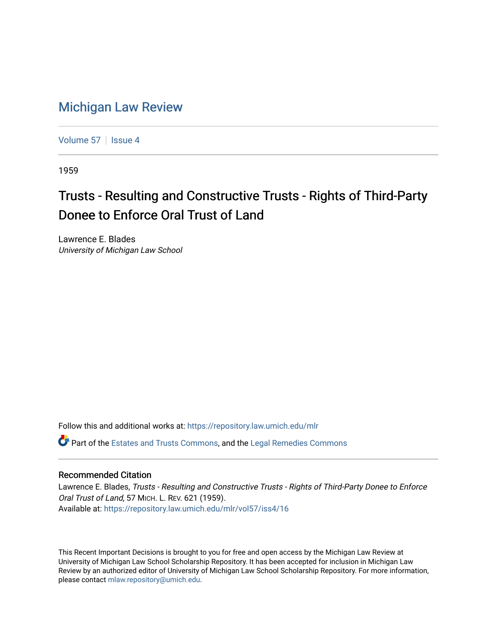## [Michigan Law Review](https://repository.law.umich.edu/mlr)

[Volume 57](https://repository.law.umich.edu/mlr/vol57) | [Issue 4](https://repository.law.umich.edu/mlr/vol57/iss4)

1959

## Trusts - Resulting and Constructive Trusts - Rights of Third-Party Donee to Enforce Oral Trust of Land

Lawrence E. Blades University of Michigan Law School

Follow this and additional works at: [https://repository.law.umich.edu/mlr](https://repository.law.umich.edu/mlr?utm_source=repository.law.umich.edu%2Fmlr%2Fvol57%2Fiss4%2F16&utm_medium=PDF&utm_campaign=PDFCoverPages) 

Part of the [Estates and Trusts Commons,](http://network.bepress.com/hgg/discipline/906?utm_source=repository.law.umich.edu%2Fmlr%2Fvol57%2Fiss4%2F16&utm_medium=PDF&utm_campaign=PDFCoverPages) and the [Legal Remedies Commons](http://network.bepress.com/hgg/discipline/618?utm_source=repository.law.umich.edu%2Fmlr%2Fvol57%2Fiss4%2F16&utm_medium=PDF&utm_campaign=PDFCoverPages) 

## Recommended Citation

Lawrence E. Blades, Trusts - Resulting and Constructive Trusts - Rights of Third-Party Donee to Enforce Oral Trust of Land, 57 MICH. L. REV. 621 (1959). Available at: [https://repository.law.umich.edu/mlr/vol57/iss4/16](https://repository.law.umich.edu/mlr/vol57/iss4/16?utm_source=repository.law.umich.edu%2Fmlr%2Fvol57%2Fiss4%2F16&utm_medium=PDF&utm_campaign=PDFCoverPages) 

This Recent Important Decisions is brought to you for free and open access by the Michigan Law Review at University of Michigan Law School Scholarship Repository. It has been accepted for inclusion in Michigan Law Review by an authorized editor of University of Michigan Law School Scholarship Repository. For more information, please contact [mlaw.repository@umich.edu.](mailto:mlaw.repository@umich.edu)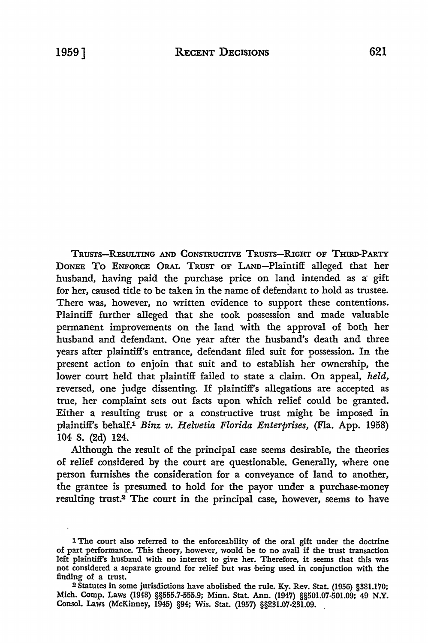TRUSTS-REsULTING AND CONSTRUCTIVE TRUSTS-RIGHT OF THIRD-PARTY DoNEE To ENFORCE ORAL TRUST OF LAND-Plaintiff alleged that her husband, having paid the purchase price on land intended as a gift for her, caused title to be taken in the name of defendant to hold as trustee. There was, however, no written evidence to support these contentions. Plaintiff further alleged that she took possession and made valuable permanent improvements on the land with the approval of both her husband and defendant. One year after the husband's death and three years after plaintiff's entrance, defendant filed suit for possession. In the present action to enjoin that suit and to establish her ownership, the lower court held that plaintiff failed to state a claim. On appeal, *held,*  reversed, one judge dissenting. If plaintiff's allegations are accepted as true, her complaint sets out facts upon which relief could be granted. Either a resulting trust or a constructive trust might be imposed in plaintiff's behalf.1 *Binz v. Helvetia Florida Enterprises,* (Fla. App. 1958) 104 S. (2d) 124.

Although the result of the principal case seems desirable, the theories of relief considered by the court are questionable. Generally, where one person furnishes the consideration for a conveyance of land to another, the grantee is presumed to hold for the payor under a purchase-money resulting trust.2 The court in the principal case, however, seems to have

<sup>1</sup> The court also referred to the enforceability of the oral gift under the doctrine of part performance. This theory, however, would be to no avail if the trust transaction left plaintiff's husband with no interest to give her. Therefore, it seems that this was not considered a separate ground for relief but was being used in conjunction with the finding of a trust.

<sup>2</sup>Statutes in some jurisdictions have abolished the rule. Ky. Rev. Stat. (1956) §381.170; Mich. Comp. Laws (1948) §§555.7-555.9; Minn. Stat. Ann. (1947) §§501.07-501.09; 49 N.Y. Consol. Laws (McKinney, 1945) §94; Wis. Stat. (1957) §§231.07-231.09.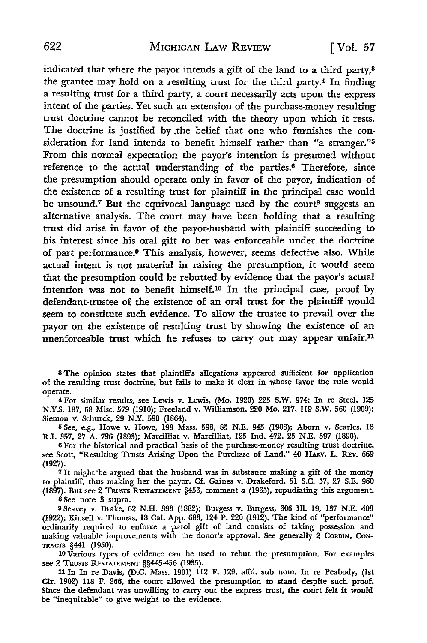indicated that where the payor intends a gift of the land to a third party,3 the grantee may hold on a resulting trust for the third party.4 In finding a resulting trust for a third party, a court necessarily acts upon the express intent of the parties. Yet such an extension of the purchase-money resulting trust doctrine cannot be reconciled with the theory upon which it rests. The doctrine is justified by .the belief that one who furnishes the consideration for land intends to benefit himself rather than "a stranger."<sup>5</sup> From this normal expectation the payor's intention is presumed without reference to the actual understanding of the parties.<sup>6</sup> Therefore, since the presumption should operate only in favor of the payor, indication of the existence of a resulting trust for plaintiff in the principal case would be unsound.<sup>7</sup> But the equivocal language used by the court<sup>8</sup> suggests an alternative analysis. The court may have been holding that a resulting trust did arise in favor of the payor-husband with plaintiff succeeding to his interest since his oral gift to her was enforceable under the doctrine of part performance.9 This analysis, however, seems defective also. While actual intent is not material in raising the presumption, it would seem that the presumption could be rebutted by evidence that the payor's actual intention was not to benefit himself.10 In the principal case, proof by defendant-trustee of the existence of an oral trust for the plaintiff would seem to constitute such evidence. To allow the trustee to prevail over the payor on the existence of resulting trust by showing the existence of an unenforceable trust which he refuses to carry out may appear unfair.<sup>11</sup>

8 The opinion states that plaintiff's allegations appeared sufficient for application of the resulting trust doctrine, but fails to make it clear in whose favor the rule would operate.

<sup>4</sup>For similar results, see Lewis v. Lewis, (Mo. 1920) 225 S.W. 974; In re Steel, 125 N.Y.S. 187, 68 Misc. 579 (1910); Freeland v. Williamson, 220 Mo. 217, 119 S.W. 560 (1909); Siemon v. Schurck, 29 N.Y. 598 (1864).

5 See, e.g., Howe v. Howe, 199 Mass. 598, 85 N.E. 945 (1908); Aborn v. Searles, 18 R.I. 357, 27 A. 796 (1893); Marcilliat v. Marcilliat, 125 Ind. 472, 25 N.E. 597 (1890).

<sup>6</sup>For the historical and practical basis of the purchase-money resulting trust doctrine, see Scott, "Resulting Trusts Arising Upon the Purchase of Land," 40 HARv. L. REv. 669 (1927).

 $7$  It might be argued that the husband was in substance making a gift of the money to plaintiff, thus making her the payor. Cf. Gaines v. Drakeford, 51 S.C. 37, 27 S.E. 960 (1897). But see 2 TRUSTS RESTATEMENT §453, comment *a* (1935), repudiating this argument.

s See note 3 supra.

9Seavey v. Drake, 62 N.H. 393 (1882); Burgess v. Burgess, 306 III. 19, 137 N.E. 403 (1922); Kinsell v. Thomas, 18 Cal. App. 683, 124 P. 220 (1912). The kind of "performance" ordinarily required to enforce a parol gift of land consists of taking possession and making valuable improvements with the donor's approval. See generally 2 CORBIN, CoN-TRAcrs §441 (1950).

10 Various types of evidence can be used to rebut the presumption. For examples see 2 TRUSTS RESTATEMENT §§445-456 (1935).

<sup>11</sup>In In re Davis, (D.C. Mass. 1901) 112 F. 129, affd. sub nom. In re Peabody, **(1st**  Cir. 1902) 118 F. 266, the court allowed the presumption **to stand** despite such proof. Since the defendant was unwilling to carry out the express trust, the court felt it would be "inequitable" to give weight to the evidence.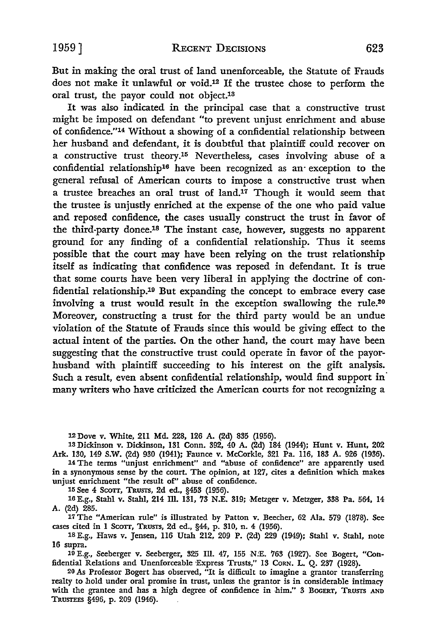But in making the oral trust of land unenforceable, the Statute of Frauds does not make it unlawful or void.12 If the trustee chose to perform the oral trust, the payor could not object.13

It was also indicated in the principal case that a constructive trust might be imposed on defendant "to prevent unjust enrichment and abuse of confidence."14 Without a showing of a confidential relationship between her husband and defendant, it is doubtful that plaintiff could recover on a constructive trust theory.15 Nevertheless, cases involving abuse of a confidential relationship16 have been recognized as an· exception to the general refusal of American courts to impose a constructive trust when a trustee breaches an oral trust of land.17 Though it would seem that the trustee is unjustly enriched at the expense of the one who paid value and reposed confidence, the cases usually construct the trust in favor of the third-party donee.18 The instant case, however, suggests no apparent ground for any finding of a confidential relationship. Thus it seems possible that the court may have been relying on the trust relationship itself as indicating that confidence was reposed in defendant. It is true that some courts have been very liberal in applying the doctrine of confidential relationship.19 But expanding the concept to embrace every case involving a trust would result in the exception swallowing the rule.20 Moreover, constructing a trust for the third party would be an undue violation of the Statute of Frauds since this would be giving effect to the actual intent of the parties. On the other hand, the court may have been suggesting that the constructive trust could operate in favor of the payorhusband with plaintiff succeeding to his interest on the gift analysis. Such a result, even absent confidential relationship, would find support in' many writers who have criticized the American courts for not recognizing a

12 Dove v. White, 211 Md. 228, 126 A. (2d) 835 (1956).

13 Dickinson v. Dickinson, 131 Conn. 392, 40 A. (2d) 184 (1944); Hunt v. Hunt, 202 Ark. 130, 149 S.W. (2d) 930 (1941); Faunce v. McCorkle, 321 Pa. 116, 183 A. 926 (1936).

14 The terms "unjust enrichment" and "abuse of confidence" are apparently used in a synonymous sense by the court. The opinion, at 127, cites a definition which makes unjust enrichment "the result of" abuse of confidence.

15 See 4 Scorr, TRUsrs, 2d ed., §453 (1956).

16 E.g., Stahl v. Stahl, 214 Ill. 131, 73 N.E. 319; Metzger v. Metzger, 338 Pa. 564, 14 A. (2d) 285.

17 The "American rule" is illustrated by Patton v. Beecher, 62 Ala. 579 (1878). See cases cited in I Scorr, TRUsrs, 2d ed., §44, p. 310, n. 4 (1956).

18 E.g., Haws v. Jensen, 116 Utah 212, 209 P. (2d) 229 (1949); Stahl v. Stahl, note 16 supra.

19 E.g., Seeberger v. Seeberger, 325 Ill. 47, 155 N:E. 763 (1927). See Bogert, "Confidential Relations and Unenforceable Express Trusts," 13 Corn. L. Q. 237 (1928).

20 As Professor Bogert has observed, "It is difficult to imagine a grantor transferring realty to hold under oral promise in trust, unless the grantor is in considerable intimacy with the grantee and has a high degree of confidence in him." 3 BOGERT, TRUSTS AND TRUSTEES §496, p. 209 (1946).